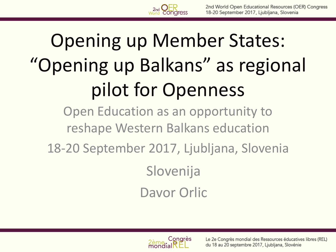

# Opening up Member States: "Opening up Balkans" as regional pilot for Openness

Open Education as an opportunity to reshape Western Balkans education

18-20 September 2017, Ljubljana, Slovenia

Slovenija Davor Orlic

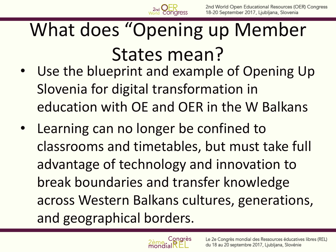

- Use the blueprint and example of Opening Up Slovenia for digital transformation in education with OE and OER in the W Balkans
- Learning can no longer be confined to classrooms and timetables, but must take full advantage of technology and innovation to break boundaries and transfer knowledge across Western Balkans cultures, generations, and geographical borders.

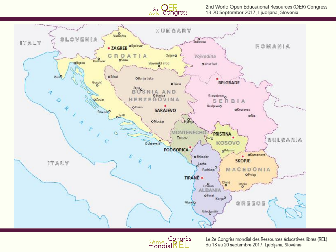

2nd World Open Educational Resources (OER) Congress 18-20 September 2017, Ljubljana, Slovenia





Le 2e Congrès mondial des Ressources éducatives libres (REL) du 18 au 20 septembre 2017, Ljubljana, Slovénie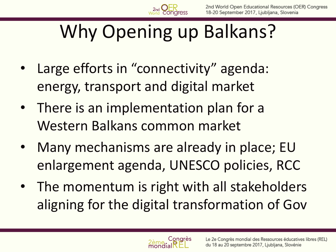# Why Opening up Balkans?

- Large efforts in "connectivity" agenda: energy, transport and digital market
- There is an implementation plan for a Western Balkans common market
- Many mechanisms are already in place; EU enlargement agenda, UNESCO policies, RCC
- The momentum is right with all stakeholders aligning for the digital transformation of Gov

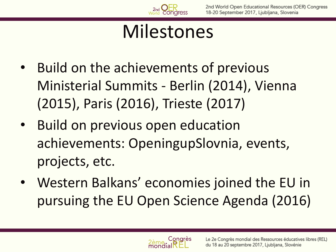## Milestones

- Build on the achievements of previous Ministerial Summits - Berlin (2014), Vienna (2015), Paris (2016), Trieste (2017)
- Build on previous open education achievements: OpeningupSlovnia, events, projects, etc.
- Western Balkans' economies joined the EU in pursuing the EU Open Science Agenda (2016)

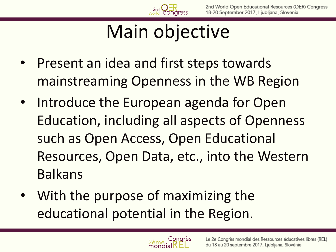# Main objective

- Present an idea and first steps towards mainstreaming Openness in the WB Region
- Introduce the European agenda for Open Education, including all aspects of Openness such as Open Access, Open Educational Resources, Open Data, etc., into the Western Balkans
- With the purpose of maximizing the educational potential in the Region.

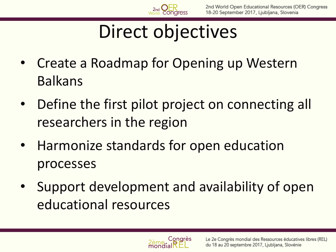

### Direct objectives

- Create a Roadmap for Opening up Western Balkans
- Define the first pilot project on connecting all researchers in the region
- Harmonize standards for open education processes
- Support development and availability of open educational resources

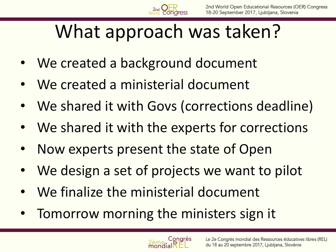## What approach was taken?

- We created a background document
- We created a ministerial document
- We shared it with Govs (corrections deadline)
- We shared it with the experts for corrections
- Now experts present the state of Open
- We design a set of projects we want to pilot
- We finalize the ministerial document
- Tomorrow morning the ministers sign it